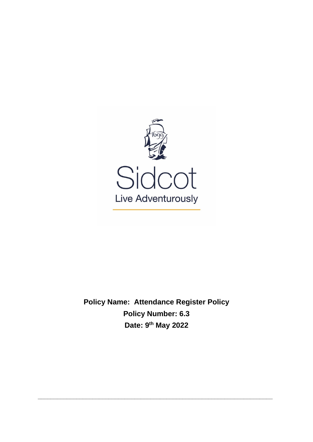

**Policy Name: Attendance Register Policy Policy Number: 6.3 Date: 9 th May 2022**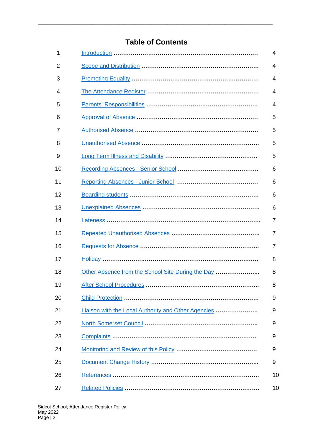# **Table of Contents**

| 1  |                                                     | 4              |
|----|-----------------------------------------------------|----------------|
| 2  |                                                     | 4              |
| 3  |                                                     | 4              |
| 4  |                                                     | 4              |
| 5  |                                                     | 4              |
| 6  |                                                     | 5              |
| 7  |                                                     | 5              |
| 8  |                                                     | 5              |
| 9  |                                                     | 5              |
| 10 |                                                     | 6              |
| 11 |                                                     | 6              |
| 12 |                                                     | 6              |
| 13 |                                                     | 6              |
| 14 |                                                     | 7              |
| 15 |                                                     | $\overline{7}$ |
| 16 |                                                     | 7              |
| 17 |                                                     | 8              |
| 18 | Other Absence from the School Site During the Day   | 8              |
| 19 |                                                     | 8              |
| 20 |                                                     | 9              |
| 21 | Liaison with the Local Authority and Other Agencies | 9              |
| 22 |                                                     | 9              |
| 23 |                                                     | 9              |
| 24 |                                                     | 9              |
| 25 |                                                     | 9              |
| 26 |                                                     | 10             |
| 27 |                                                     | 10             |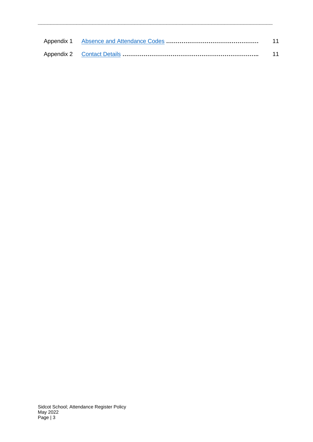|  | 11 |
|--|----|
|  | 11 |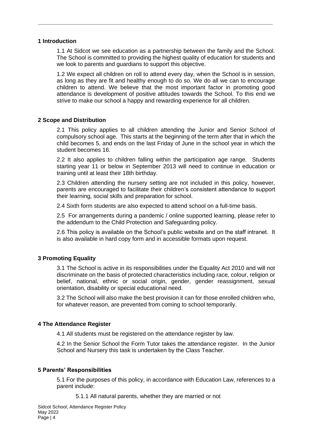### <span id="page-3-0"></span>**1 Introduction**

1.1 At Sidcot we see education as a partnership between the family and the School. The School is committed to providing the highest quality of education for students and we look to parents and guardians to support this objective.

**\_\_\_\_\_\_\_\_\_\_\_\_\_\_\_\_\_\_\_\_\_\_\_\_\_\_\_\_\_\_\_\_\_\_\_\_\_\_\_\_\_\_\_\_\_\_\_\_\_\_\_\_\_\_\_\_\_\_\_\_\_\_\_\_\_\_\_\_\_\_\_\_\_**

1.2 We expect all children on roll to attend every day, when the School is in session, as long as they are fit and healthy enough to do so. We do all we can to encourage children to attend. We believe that the most important factor in promoting good attendance is development of positive attitudes towards the School. To this end we strive to make our school a happy and rewarding experience for all children.

# <span id="page-3-1"></span>**2 Scope and Distribution**

2.1 This policy applies to all children attending the Junior and Senior School of compulsory school age. This starts at the beginning of the term after that in which the child becomes 5, and ends on the last Friday of June in the school year in which the student becomes 16.

2.2 It also applies to children falling within the participation age range. Students starting year 11 or below in September 2013 will need to continue in education or training until at least their 18th birthday.

2.3 Children attending the nursery setting are not included in this policy, however, parents are encouraged to facilitate their children's consistent attendance to support their learning, social skills and preparation for school.

2.4 Sixth form students are also expected to attend school on a full-time basis.

2.5 For arrangements during a pandemic / online supported learning, please refer to the addendum to the Child Protection and Safeguarding policy.

2.6 This policy is available on the School's public website and on the staff intranet. It is also available in hard copy form and in accessible formats upon request.

# <span id="page-3-2"></span>**3 Promoting Equality**

3.1 The School is active in its responsibilities under the Equality Act 2010 and will not discriminate on the basis of protected characteristics including race, colour, religion or belief, national, ethnic or social origin, gender, gender reassignment, sexual orientation, disability or special educational need.

3.2 The School will also make the best provision it can for those enrolled children who, for whatever reason, are prevented from coming to school temporarily.

# <span id="page-3-3"></span>**4 The Attendance Register**

4.1 All students must be registered on the attendance register by law.

4.2 In the Senior School the Form Tutor takes the attendance register. In the Junior School and Nursery this task is undertaken by the Class Teacher.

# <span id="page-3-4"></span>**5 Parents' Responsibilities**

5.1 For the purposes of this policy, in accordance with Education Law, references to a parent include:

5.1.1 All natural parents, whether they are married or not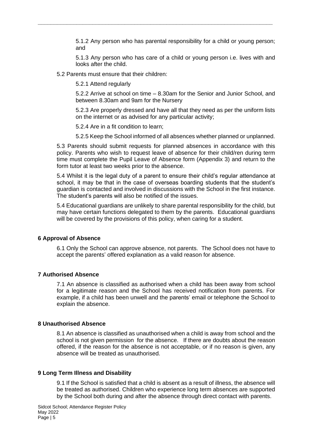5.1.2 Any person who has parental responsibility for a child or young person; and

**\_\_\_\_\_\_\_\_\_\_\_\_\_\_\_\_\_\_\_\_\_\_\_\_\_\_\_\_\_\_\_\_\_\_\_\_\_\_\_\_\_\_\_\_\_\_\_\_\_\_\_\_\_\_\_\_\_\_\_\_\_\_\_\_\_\_\_\_\_\_\_\_\_**

5.1.3 Any person who has care of a child or young person i.e. lives with and looks after the child.

5.2 Parents must ensure that their children:

5.2.1 Attend regularly

5.2.2 Arrive at school on time – 8.30am for the Senior and Junior School, and between 8.30am and 9am for the Nursery

5.2.3 Are properly dressed and have all that they need as per the uniform lists on the internet or as advised for any particular activity;

5.2.4 Are in a fit condition to learn;

5.2.5 Keep the School informed of all absences whether planned or unplanned.

5.3 Parents should submit requests for planned absences in accordance with this policy. Parents who wish to request leave of absence for their child/ren during term time must complete the Pupil Leave of Absence form (Appendix 3) and return to the form tutor at least two weeks prior to the absence.

5.4 Whilst it is the legal duty of a parent to ensure their child's regular attendance at school, it may be that in the case of overseas boarding students that the student's guardian is contacted and involved in discussions with the School in the first instance. The student's parents will also be notified of the issues.

5.4 Educational guardians are unlikely to share parental responsibility for the child, but may have certain functions delegated to them by the parents. Educational guardians will be covered by the provisions of this policy, when caring for a student.

#### <span id="page-4-0"></span>**6 Approval of Absence**

6.1 Only the School can approve absence, not parents. The School does not have to accept the parents' offered explanation as a valid reason for absence.

### <span id="page-4-1"></span>**7 Authorised Absence**

7.1 An absence is classified as authorised when a child has been away from school for a legitimate reason and the School has received notification from parents. For example, if a child has been unwell and the parents' email or telephone the School to explain the absence.

#### <span id="page-4-2"></span>**8 Unauthorised Absence**

8.1 An absence is classified as unauthorised when a child is away from school and the school is not given permission for the absence. If there are doubts about the reason offered, if the reason for the absence is not acceptable, or if no reason is given, any absence will be treated as unauthorised.

#### <span id="page-4-3"></span>**9 Long Term Illness and Disability**

9.1 If the School is satisfied that a child is absent as a result of illness, the absence will be treated as authorised. Children who experience long term absences are supported by the School both during and after the absence through direct contact with parents.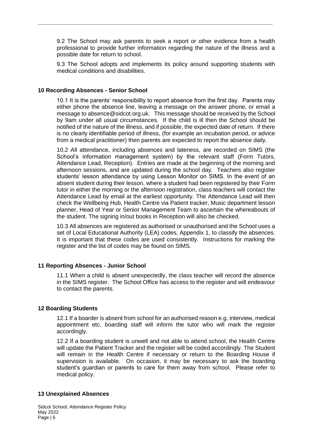9.2 The School may ask parents to seek a report or other evidence from a health professional to provide further information regarding the nature of the illness and a possible date for return to school.

**\_\_\_\_\_\_\_\_\_\_\_\_\_\_\_\_\_\_\_\_\_\_\_\_\_\_\_\_\_\_\_\_\_\_\_\_\_\_\_\_\_\_\_\_\_\_\_\_\_\_\_\_\_\_\_\_\_\_\_\_\_\_\_\_\_\_\_\_\_\_\_\_\_**

9.3 The School adopts and implements its policy around supporting students with medical conditions and disabilities.

### <span id="page-5-0"></span>**10 Recording Absences - Senior School**

10.1 It is the parents' responsibility to report absence from the first day. Parents may either phone the absence line, leaving a message on the answer phone, or email a message to absence@sidcot.org.uk. This message should be received by the School by 9am under all usual circumstances. If the child is ill then the School should be notified of the nature of the illness, and if possible, the expected date of return. If there is no clearly identifiable period of illness, (for example an incubation period, or advice from a medical practitioner) then parents are expected to report the absence daily.

10.2 All attendance, including absences and lateness, are recorded on SIMS (the School's information management system) by the relevant staff (Form Tutors, Attendance Lead, Reception). Entries are made at the beginning of the morning and afternoon sessions, and are updated during the school day. Teachers also register students' lesson attendance by using Lesson Monitor on SIMS. In the event of an absent student during their lesson, where a student had been registered by their Form tutor in either the morning or the afternoon registration, class teachers will contact the Attendance Lead by email at the earliest opportunity. The Attendance Lead will then check the Wellbeing Hub, Health Centre via Patient tracker, Music department lesson planner, Head of Year or Senior Management Team to ascertain the whereabouts of the student. The signing in/out books in Reception will also be checked.

10.3 All absences are registered as authorised or unauthorised and the School uses a set of Local Educational Authority (LEA) codes, Appendix 1, to classify the absences. It is important that these codes are used consistently. Instructions for marking the register and the list of codes may be found on SIMS.

#### <span id="page-5-1"></span>**11 Reporting Absences - Junior School**

11.1 When a child is absent unexpectedly, the class teacher will record the absence in the SIMS register. The School Office has access to the register and will endeavour to contact the parents.

#### <span id="page-5-2"></span>**12 Boarding Students**

12.1 If a boarder is absent from school for an authorised reason e.g. interview, medical appointment etc, boarding staff will inform the tutor who will mark the register accordingly.

12.2 If a boarding student is unwell and not able to attend school, the Health Centre will update the Patient Tracker and the register will be coded accordingly. The Student will remain in the Health Centre if necessary or return to the Boarding House if supervision is available. On occasion, it may be necessary to ask the boarding student's guardian or parents to care for them away from school. Please refer to medical policy.

#### <span id="page-5-3"></span>**13 Unexplained Absences**

Sidcot School; Attendance Register Policy May 2022 Page  $| 6$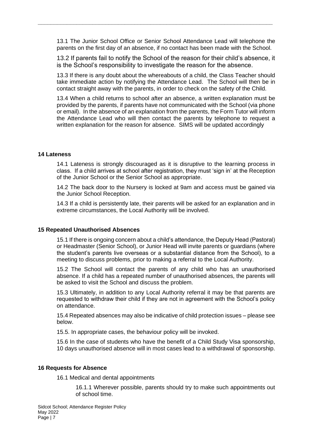13.1 The Junior School Office or Senior School Attendance Lead will telephone the parents on the first day of an absence, if no contact has been made with the School.

**\_\_\_\_\_\_\_\_\_\_\_\_\_\_\_\_\_\_\_\_\_\_\_\_\_\_\_\_\_\_\_\_\_\_\_\_\_\_\_\_\_\_\_\_\_\_\_\_\_\_\_\_\_\_\_\_\_\_\_\_\_\_\_\_\_\_\_\_\_\_\_\_\_**

13.2 If parents fail to notify the School of the reason for their child's absence, it is the School's responsibility to investigate the reason for the absence.

13.3 If there is any doubt about the whereabouts of a child, the Class Teacher should take immediate action by notifying the Attendance Lead. The School will then be in contact straight away with the parents, in order to check on the safety of the Child.

13.4 When a child returns to school after an absence, a written explanation must be provided by the parents, if parents have not communicated with the School (via phone or email). In the absence of an explanation from the parents, the Form Tutor will inform the Attendance Lead who will then contact the parents by telephone to request a written explanation for the reason for absence. SIMS will be updated accordingly

#### <span id="page-6-0"></span>**14 Lateness**

14.1 Lateness is strongly discouraged as it is disruptive to the learning process in class. If a child arrives at school after registration, they must 'sign in' at the Reception of the Junior School or the Senior School as appropriate.

14.2 The back door to the Nursery is locked at 9am and access must be gained via the Junior School Reception.

14.3 If a child is persistently late, their parents will be asked for an explanation and in extreme circumstances, the Local Authority will be involved.

#### <span id="page-6-1"></span>**15 Repeated Unauthorised Absences**

15.1 If there is ongoing concern about a child's attendance, the Deputy Head (Pastoral) or Headmaster (Senior School), or Junior Head will invite parents or guardians (where the student's parents live overseas or a substantial distance from the School), to a meeting to discuss problems, prior to making a referral to the Local Authority.

15.2 The School will contact the parents of any child who has an unauthorised absence. If a child has a repeated number of unauthorised absences, the parents will be asked to visit the School and discuss the problem.

15.3 Ultimately, in addition to any Local Authority referral it may be that parents are requested to withdraw their child if they are not in agreement with the School's policy on attendance.

15.4 Repeated absences may also be indicative of child protection issues – please see below.

15.5. In appropriate cases, the behaviour policy will be invoked.

15.6 In the case of students who have the benefit of a Child Study Visa sponsorship, 10 days unauthorised absence will in most cases lead to a withdrawal of sponsorship.

#### <span id="page-6-2"></span>**16 Requests for Absence**

16.1 Medical and dental appointments

16.1.1 Wherever possible, parents should try to make such appointments out of school time.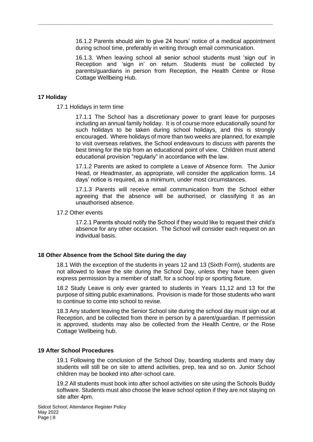16.1.2 Parents should aim to give 24 hours' notice of a medical appointment during school time, preferably in writing through email communication.

**\_\_\_\_\_\_\_\_\_\_\_\_\_\_\_\_\_\_\_\_\_\_\_\_\_\_\_\_\_\_\_\_\_\_\_\_\_\_\_\_\_\_\_\_\_\_\_\_\_\_\_\_\_\_\_\_\_\_\_\_\_\_\_\_\_\_\_\_\_\_\_\_\_**

16.1.3. When leaving school all senior school students must 'sign out' in Reception and 'sign in' on return. Students must be collected by parents/guardians in person from Reception, the Health Centre or Rose Cottage Wellbeing Hub.

### <span id="page-7-0"></span>**17 Holiday**

17.1 Holidays in term time

17.1.1 The School has a discretionary power to grant leave for purposes including an annual family holiday. It is of course more educationally sound for such holidays to be taken during school holidays, and this is strongly encouraged. Where holidays of more than two weeks are planned, for example to visit overseas relatives, the School endeavours to discuss with parents the best timing for the trip from an educational point of view. Children must attend educational provision "regularly" in accordance with the law.

17.1.2 Parents are asked to complete a Leave of Absence form. The Junior Head, or Headmaster, as appropriate, will consider the application forms. 14 days' notice is required, as a minimum, under most circumstances.

17.1.3 Parents will receive email communication from the School either agreeing that the absence will be authorised, or classifying it as an unauthorised absence.

#### 17.2 Other events

17.2.1 Parents should notify the School if they would like to request their child's absence for any other occasion. The School will consider each request on an individual basis.

#### <span id="page-7-1"></span>**18 Other Absence from the School Site during the day**

18.1 With the exception of the students in years 12 and 13 (Sixth Form), students are not allowed to leave the site during the School Day, unless they have been given express permission by a member of staff, for a school trip or sporting fixture.

18.2 Study Leave is only ever granted to students in Years 11,12 and 13 for the purpose of sitting public examinations. Provision is made for those students who want to continue to come into school to revise.

18.3 Any student leaving the Senior School site during the school day must sign out at Reception, and be collected from there in person by a parent/guardian. If permission is approved, students may also be collected from the Health Centre, or the Rose Cottage Wellbeing hub.

#### <span id="page-7-2"></span>**19 After School Procedures**

19.1 Following the conclusion of the School Day, boarding students and many day students will still be on site to attend activities, prep, tea and so on. Junior School children may be booked into after-school care.

19.2 All students must book into after school activities on site using the Schools Buddy software. Students must also choose the leave school option if they are not staying on site after 4pm.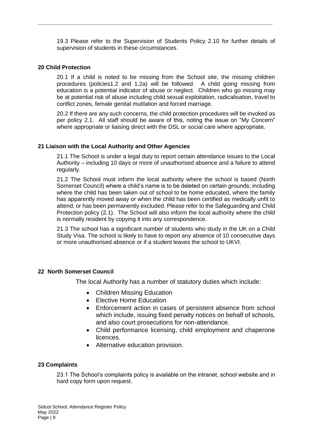19.3 Please refer to the Supervision of Students Policy 2.10 for further details of supervision of students in these circumstances.

**\_\_\_\_\_\_\_\_\_\_\_\_\_\_\_\_\_\_\_\_\_\_\_\_\_\_\_\_\_\_\_\_\_\_\_\_\_\_\_\_\_\_\_\_\_\_\_\_\_\_\_\_\_\_\_\_\_\_\_\_\_\_\_\_\_\_\_\_\_\_\_\_\_**

### <span id="page-8-0"></span>**20 Child Protection**

20.1 If a child is noted to be missing from the School site, the missing children procedures (policies1.2 and 1.2a) will be followed. A child going missing from education is a potential indicator of abuse or neglect. Children who go missing may be at potential risk of abuse including child sexual exploitation, radicalisation, travel to conflict zones, female genital mutilation and forced marriage.

20.2 If there are any such concerns, the child protection procedures will be invoked as per policy 2.1. All staff should be aware of this, noting the issue on "My Concern" where appropriate or liaising direct with the DSL or social care where appropriate.

### <span id="page-8-1"></span>**21 Liaison with the Local Authority and Other Agencies**

21.1 The School is under a legal duty to report certain attendance issues to the Local Authority – including 10 days or more of unauthorised absence and a failure to attend regularly.

21.2 The School must inform the local authority where the school is based (North Somerset Council) where a child's name is to be deleted on certain grounds; including where the child has been taken out of school to be home educated, where the family has apparently moved away or when the child has been certified as medically unfit to attend, or has been permanently excluded. Please refer to the Safeguarding and Child Protection policy (2.1). The School will also inform the local authority where the child is normally resident by copying it into any correspondence.

21.3 The school has a significant number of students who study in the UK on a Child Study Visa. The school is likely to have to report any absence of 10 consecutive days or more unauthorised absence or if a student leaves the school to UKVI.

# **22 North Somerset Council**

The local Authority has a number of statutory duties which include:

- Children Missing Education
- Elective Home Education
- Enforcement action in cases of persistent absence from school which include, issuing fixed penalty notices on behalf of schools, and also court prosecutions for non-attendance.
- Child performance licensing, child employment and chaperone licences.
- Alternative education provision.

# <span id="page-8-2"></span>**23 Complaints**

23.1 The School's complaints policy is available on the intranet, school website and in hard copy form upon request.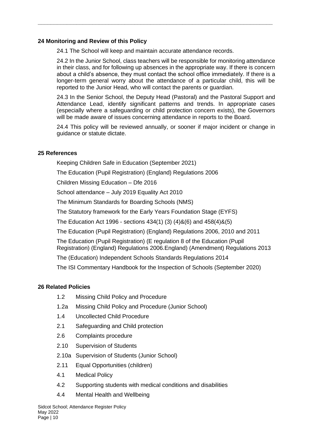# <span id="page-9-0"></span>**24 Monitoring and Review of this Policy**

24.1 The School will keep and maintain accurate attendance records.

**\_\_\_\_\_\_\_\_\_\_\_\_\_\_\_\_\_\_\_\_\_\_\_\_\_\_\_\_\_\_\_\_\_\_\_\_\_\_\_\_\_\_\_\_\_\_\_\_\_\_\_\_\_\_\_\_\_\_\_\_\_\_\_\_\_\_\_\_\_\_\_\_\_**

24.2 In the Junior School, class teachers will be responsible for monitoring attendance in their class, and for following up absences in the appropriate way. If there is concern about a child's absence, they must contact the school office immediately. If there is a longer-term general worry about the attendance of a particular child, this will be reported to the Junior Head, who will contact the parents or guardian.

24.3 In the Senior School, the Deputy Head (Pastoral) and the Pastoral Support and Attendance Lead, identify significant patterns and trends. In appropriate cases (especially where a safeguarding or child protection concern exists), the Governors will be made aware of issues concerning attendance in reports to the Board.

24.4 This policy will be reviewed annually, or sooner if major incident or change in guidance or statute dictate.

# <span id="page-9-1"></span>**25 References**

Keeping Children Safe in Education (September 2021)

The Education (Pupil Registration) (England) Regulations 2006

Children Missing Education – Dfe 2016

School attendance – July 2019 Equality Act 2010

The Minimum Standards for Boarding Schools (NMS)

The Statutory framework for the Early Years Foundation Stage (EYFS)

The Education Act 1996 - sections 434(1) (3) (4)&(6) and 458(4)&(5)

The Education (Pupil Registration) (England) Regulations 2006, 2010 and 2011

The Education (Pupil Registration) (E regulation 8 of the Education (Pupil Registration) (England) Regulations 2006.England) (Amendment) Regulations 2013

The (Education) Independent Schools Standards Regulations 2014

The ISI Commentary Handbook for the Inspection of Schools (September 2020)

# <span id="page-9-2"></span>**26 Related Policies**

- 1.2 Missing Child Policy and Procedure
- 1.2a Missing Child Policy and Procedure (Junior School)
- 1.4 Uncollected Child Procedure
- 2.1 Safeguarding and Child protection
- 2.6 Complaints procedure
- 2.10 Supervision of Students
- 2.10a Supervision of Students (Junior School)
- 2.11 Equal Opportunities (children)
- 4.1 Medical Policy
- 4.2 Supporting students with medical conditions and disabilities
- 4.4 Mental Health and Wellbeing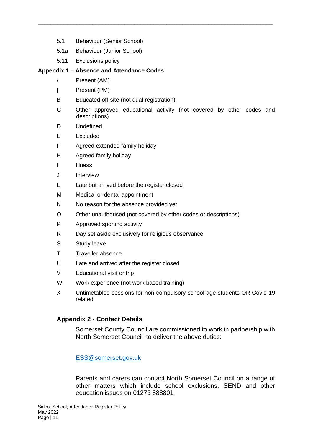- 5.1 Behaviour (Senior School)
- 5.1a Behaviour (Junior School)
- 5.11 Exclusions policy

# <span id="page-10-0"></span>**Appendix 1 – Absence and Attendance Codes**

- / Present (AM)
- | Present (PM)
- B Educated off-site (not dual registration)
- C Other approved educational activity (not covered by other codes and descriptions)

**\_\_\_\_\_\_\_\_\_\_\_\_\_\_\_\_\_\_\_\_\_\_\_\_\_\_\_\_\_\_\_\_\_\_\_\_\_\_\_\_\_\_\_\_\_\_\_\_\_\_\_\_\_\_\_\_\_\_\_\_\_\_\_\_\_\_\_\_\_\_\_\_\_**

- D Undefined
- E Excluded
- F Agreed extended family holiday
- H Agreed family holiday
- I Illness
- J Interview
- L Late but arrived before the register closed
- M Medical or dental appointment
- N No reason for the absence provided yet
- O Other unauthorised (not covered by other codes or descriptions)
- P Approved sporting activity
- R Day set aside exclusively for religious observance
- S Study leave
- T Traveller absence
- U Late and arrived after the register closed
- V Educational visit or trip
- W Work experience (not work based training)
- X Untimetabled sessions for non-compulsory school-age students OR Covid 19 related

# <span id="page-10-1"></span>**Appendix 2 - Contact Details**

Somerset County Council are commissioned to work in partnership with North Somerset Council to deliver the above duties:

[ESS@somerset.gov.uk](mailto:ESS@somerset.gov.uk)

Parents and carers can contact North Somerset Council on a range of other matters which include school exclusions, SEND and other education issues on 01275 888801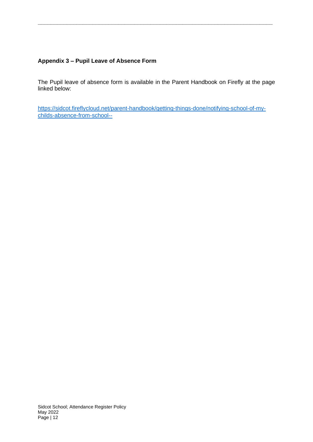# **Appendix 3 – Pupil Leave of Absence Form**

The Pupil leave of absence form is available in the Parent Handbook on Firefly at the page linked below:

**\_\_\_\_\_\_\_\_\_\_\_\_\_\_\_\_\_\_\_\_\_\_\_\_\_\_\_\_\_\_\_\_\_\_\_\_\_\_\_\_\_\_\_\_\_\_\_\_\_\_\_\_\_\_\_\_\_\_\_\_\_\_\_\_\_\_\_\_\_\_\_\_\_**

[https://sidcot.fireflycloud.net/parent-handbook/getting-things-done/notifying-school-of-my](https://sidcot.fireflycloud.net/parent-handbook/getting-things-done/notifying-school-of-my-childs-absence-from-school--)[childs-absence-from-school--](https://sidcot.fireflycloud.net/parent-handbook/getting-things-done/notifying-school-of-my-childs-absence-from-school--)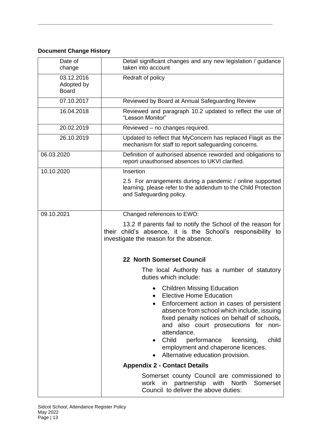# **Document Change History**

| Date of<br>change                        | Detail significant changes and any new legislation / guidance<br>taken into account                                                                                                                                                                                                                                                                                                              |
|------------------------------------------|--------------------------------------------------------------------------------------------------------------------------------------------------------------------------------------------------------------------------------------------------------------------------------------------------------------------------------------------------------------------------------------------------|
| 03.12.2016<br>Adopted by<br><b>Board</b> | Redraft of policy                                                                                                                                                                                                                                                                                                                                                                                |
| 07.10.2017                               | Reviewed by Board at Annual Safeguarding Review                                                                                                                                                                                                                                                                                                                                                  |
| 16.04.2018                               | Reviewed and paragraph 10.2 updated to reflect the use of<br>"Lesson Monitor"                                                                                                                                                                                                                                                                                                                    |
| 20.02.2019                               | Reviewed - no changes required.                                                                                                                                                                                                                                                                                                                                                                  |
| 26.10.2019                               | Updated to reflect that MyConcern has replaced Flagit as the<br>mechanism for staff to report safeguarding concerns.                                                                                                                                                                                                                                                                             |
| 06.03.2020                               | Definition of authorised absence reworded and obligations to<br>report unauthorised absences to UKVI clarified.                                                                                                                                                                                                                                                                                  |
| 10.10.2020                               | Insertion                                                                                                                                                                                                                                                                                                                                                                                        |
|                                          | 2.5 For arrangements during a pandemic / online supported<br>learning, please refer to the addendum to the Child Protection<br>and Safeguarding policy.                                                                                                                                                                                                                                          |
| 09.10.2021                               | Changed references to EWO:                                                                                                                                                                                                                                                                                                                                                                       |
|                                          | 13.2 If parents fail to notify the School of the reason for<br>their child's absence, it is the School's responsibility to<br>investigate the reason for the absence.                                                                                                                                                                                                                            |
|                                          | 22 North Somerset Council                                                                                                                                                                                                                                                                                                                                                                        |
|                                          | The local Authority has a number of statutory<br>duties which include:                                                                                                                                                                                                                                                                                                                           |
|                                          | <b>Children Missing Education</b><br><b>Elective Home Education</b><br>Enforcement action in cases of persistent<br>absence from school which include, issuing<br>fixed penalty notices on behalf of schools,<br>and also court prosecutions for<br>non-<br>attendance.<br>Child<br>performance<br>licensing,<br>child<br>employment and chaperone licences.<br>Alternative education provision. |
|                                          | <b>Appendix 2 - Contact Details</b>                                                                                                                                                                                                                                                                                                                                                              |
|                                          | Somerset county Council are commissioned to<br>work in partnership with North<br>Somerset<br>Council to deliver the above duties:                                                                                                                                                                                                                                                                |